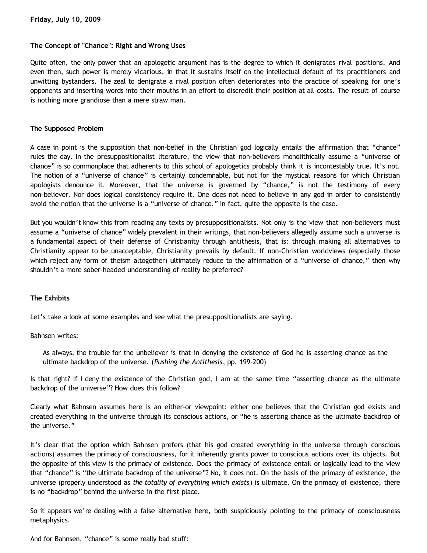## **The Concept of "Chance": Right and Wrong Uses**

Quite often, the only power that an apologetic argument has is the degree to which it denigrates rival positions. And even then, such power is merely vicarious, in that it sustains itself on the intellectual default of its practitioners and unwitting bystanders. The zeal to denigrate a rival position often deteriorates into the practice of speaking for one's opponents and inserting words into their mouths in an effort to discredit their position at all costs. The result of course is nothing more grandiose than a mere straw man.

### **The Supposed Problem**

A case in point is the supposition that non-belief in the Christian god logically entails the affirmation that "chance" rules the day. In the presuppositionalist literature, the view that non-believers monolithically assume a "universe of chance" is so commonplace that adherents to this school of apologetics probably think it is incontestably true. It's not. The notion of a "universe of chance" is certainly condemnable, but not for the mystical reasons for which Christian apologists denounce it. Moreover, that the universe is governed by "chance," is not the testimony of every non-believer. Nor does logical consistency require it. One does not need to believe in any god in order to consistently avoid the notion that the universe is a "universe of chance." In fact, quite the opposite is the case.

But you wouldn't know this from reading any texts by presuppositionalists. Not only is the view that non-believers must assume a "universe of chance" widely prevalent in their writings, that non-believers allegedly assume such a universe is a fundamental aspect of their defense of Christianity through antithesis, that is: through making all alternatives to Christianity appear to be unacceptable, Christianity prevails by default. If non-Christian worldviews (especially those which reject any form of theism altogether) ultimately reduce to the affirmation of a "universe of chance," then why shouldn't a more sober-headed understanding of reality be preferred?

### **The Exhibits**

Let's take a look at some examples and see what the presuppositionalists are saying.

Bahnsen writes:

As always, the trouble for the unbeliever is that in denying the existence of God he is asserting chance as the ultimate backdrop of the universe. (*Pushing the Antithesis*, pp. 199-200)

Is that right? If I deny the existence of the Christian god, I am at the same time "asserting chance as the ultimate backdrop of the universe"? How does this follow?

Clearly what Bahnsen assumes here is an either-or viewpoint: either one believes that the Christian god exists and created everything in the universe through its conscious actions, or "he is asserting chance as the ultimate backdrop of the universe."

It's clear that the option which Bahnsen prefers (that his god created everything in the universe through conscious actions) assumes the primacy of consciousness, for it inherently grants power to conscious actions over its objects. But the opposite of this view is the primacy of existence. Does the primacy of existence entail or logically lead to the view that "chance" is "the ultimate backdrop of the universe"? No, it does not. On the basis of the primacy of existence, the universe (properly understood as *the totality of everything which exists*) is ultimate. On the primacy of existence, there is no "backdrop" behind the universe in the first place.

So it appears we're dealing with a false alternative here, both suspiciously pointing to the primacy of consciousness metaphysics.

And for Bahnsen, "chance" is some really bad stuff: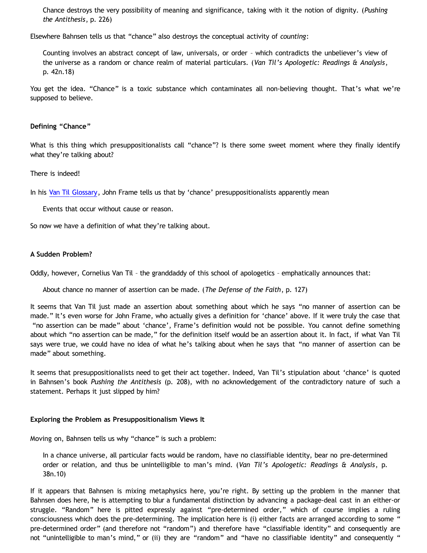Chance destroys the very possibility of meaning and significance, taking with it the notion of dignity. (*Pushing the Antithesis*, p. 226)

Elsewhere Bahnsen tells us that "chance" also destroys the conceptual activity of *counting*:

Counting involves an abstract concept of law, universals, or order – which contradicts the unbeliever's view of the universe as a random or chance realm of material particulars. (*Van Til's Apologetic: Readings & Analysis*, p. 42n.18)

You get the idea. "Chance" is a toxic substance which contaminates all non-believing thought. That's what we're supposed to believe.

## **Defining "Chance"**

What is this thing which presuppositionalists call "chance"? Is there some sweet moment where they finally identify what they're talking about?

## There is indeed!

In his [Van Til Glossary](http://thirdmill.org/newfiles/joh_frame/VT_A%20Van%20Til%20Glossary.html), John Frame tells us that by 'chance' presuppositionalists apparently mean

Events that occur without cause or reason.

So now we have a definition of what they're talking about.

## **A Sudden Problem?**

Oddly, however, Cornelius Van Til – the granddaddy of this school of apologetics – emphatically announces that:

About chance no manner of assertion can be made. (*The Defense of the Faith*, p. 127)

It seems that Van Til just made an assertion about something about which he says "no manner of assertion can be made." It's even worse for John Frame, who actually gives a definition for 'chance' above. If it were truly the case that "no assertion can be made" about 'chance', Frame's definition would not be possible. You cannot define something about which "no assertion can be made," for the definition itself would be an assertion about it. In fact, if what Van Til says were true, we could have no idea of what he's talking about when he says that "no manner of assertion can be made" about something.

It seems that presuppositionalists need to get their act together. Indeed, Van Til's stipulation about 'chance' is quoted in Bahnsen's book *Pushing the Antithesis* (p. 208), with no acknowledgement of the contradictory nature of such a statement. Perhaps it just slipped by him?

### **Exploring the Problem as Presuppositionalism Views It**

Moving on, Bahnsen tells us why "chance" is such a problem:

In a chance universe, all particular facts would be random, have no classifiable identity, bear no pre-determined order or relation, and thus be unintelligible to man's mind. (*Van Til's Apologetic: Readings & Analysis*, p. 38n.10)

If it appears that Bahnsen is mixing metaphysics here, you're right. By setting up the problem in the manner that Bahnsen does here, he is attempting to blur a fundamental distinction by advancing a package-deal cast in an either-or struggle. "Random" here is pitted expressly against "pre-determined order," which of course implies a ruling consciousness which does the pre-determining. The implication here is (i) either facts are arranged according to some " pre-determined order" (and therefore not "random") and therefore have "classifiable identity" and consequently are not "unintelligible to man's mind," or (ii) they are "random" and "have no classifiable identity" and consequently "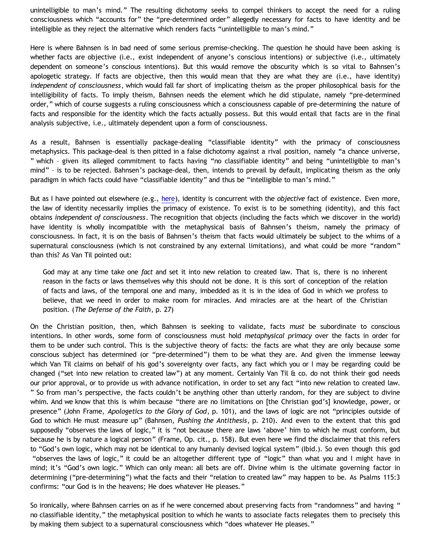unintelligible to man's mind." The resulting dichotomy seeks to compel thinkers to accept the need for a ruling consciousness which "accounts for" the "pre-determined order" allegedly necessary for facts to have identity and be intelligible as they reject the alternative which renders facts "unintelligible to man's mind."

Here is where Bahnsen is in bad need of some serious premise-checking. The question he should have been asking is whether facts are objective (i.e., exist independent of anyone's conscious intentions) or subjective (i.e., ultimately dependent on someone's conscious intentions). But this would remove the obscurity which is so vital to Bahnsen's apologetic strategy. If facts are objective, then this would mean that they are what they are (i.e., have identity) *independent of consciousness*, which would fall far short of implicating theism as the proper philosophical basis for the intelligibility of facts. To imply theism, Bahnsen needs the element which he did stipulate, namely "pre-determined order," which of course suggests a ruling consciousness which a consciousness capable of pre-determining the nature of facts and responsible for the identity which the facts actually possess. But this would entail that facts are in the final analysis subjective, i.e., ultimately dependent upon a form of consciousness.

As a result, Bahnsen is essentially package-dealing "classifiable identity" with the primacy of consciousness metaphysics. This package-deal is then pitted in a false dichotomy against a rival position, namely "a chance universe, " which – given its alleged commitment to facts having "no classifiable identity" and being "unintelligible to man's mind" – is to be rejected. Bahnsen's package-deal, then, intends to prevail by default, implicating theism as the only paradigm in which facts could have "classifiable identity" and thus be "intelligible to man's mind."

But as I have pointed out elsewhere (e.g., [here](http://bahnsenburner.blogspot.com/2009/07/does-logic-presuppose-christian-god.html)), identity is concurrent with the *objective* fact of existence. Even more, the law of identity necessarily implies the primacy of existence. To exist is to be something (identity), and this fact obtains *independent of consciousness*. The recognition that objects (including the facts which we discover in the world) have identity is wholly incompatible with the metaphysical basis of Bahnsen's theism, namely the primacy of consciousness. In fact, it is on the basis of Bahnsen's theism that facts would ultimately be subject to the whims of a supernatural consciousness (which is not constrained by any external limitations), and what could be more "random" than this? As Van Til pointed out:

God may at any time take one *fact* and set it into new relation to created law. That is, there is no inherent reason in the facts or laws themselves why this should not be done. It is this sort of conception of the relation of facts and laws, of the temporal one and many, imbedded as it is in the idea of God in which we profess to believe, that we need in order to make room for miracles. And miracles are at the heart of the Christian position. (*The Defense of the Faith*, p. 27)

On the Christian position, then, which Bahnsen is seeking to validate, facts *must* be subordinate to conscious intentions. In other words, some form of consciousness must hold *metaphysical primacy* over the facts in order for them to be under such control. This is the subjective theory of facts: the facts are what they are only because some conscious subject has determined (or "pre-determined") them to be what they are. And given the immense leeway which Van Til claims on behalf of his god's sovereignty over facts, any fact which you or I may be regarding could be changed ("set into new relation to created law") at any moment. Certainly Van Til  $\alpha$  co. do not think their god needs our prior approval, or to provide us with advance notification, in order to set any fact "into new relation to created law. " So from man's perspective, the facts couldn't be anything other than utterly random, for they are subject to divine whim. And we know that this is whim because "there are no limitations on [the Christian god's] knowledge, power, or presence" (John Frame, *Apologetics to the Glory of God*, p. 101), and the laws of logic are not "principles outside of God to which He must measure up" (Bahnsen, *Pushing the Antithesis*, p. 210). And even to the extent that this god supposedly "observes the laws of logic," it is "not because there are laws 'above' him to which he must conform, but because he is by nature a logical person" (Frame, Op. cit., p. 158). But even here we find the disclaimer that this refers to "God's own logic, which may not be identical to any humanly devised logical system" (Ibid.). So even though this god "observes the laws of logic," it could be an altogether different type of "logic" than what you and I might have in mind; it's "God's own logic." Which can only mean: all bets are off. Divine whim is the ultimate governing factor in determining ("pre-determining") what the facts and their "relation to created law" may happen to be. As Psalms 115:3 confirms: "our God is in the heavens; He does whatever He pleases."

So ironically, where Bahnsen carries on as if he were concerned about preserving facts from "randomness" and having " no classifiable identity," the metaphysical position to which he wants to associate facts relegates them to precisely this by making them subject to a supernatural consciousness which "does whatever He pleases."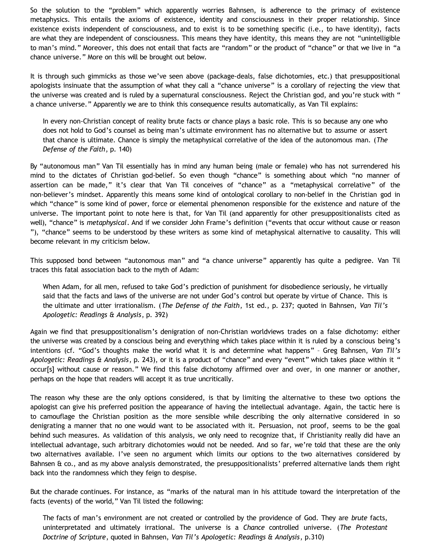So the solution to the "problem" which apparently worries Bahnsen, is adherence to the primacy of existence metaphysics. This entails the axioms of existence, identity and consciousness in their proper relationship. Since existence exists independent of consciousness, and to exist is to be something specific (i.e., to have identity), facts are what they are independent of consciousness. This means they have identity, this means they are not "unintelligible to man's mind." Moreover, this does not entail that facts are "random" or the product of "chance" or that we live in "a chance universe." More on this will be brought out below.

It is through such gimmicks as those we've seen above (package-deals, false dichotomies, etc.) that presuppositional apologists insinuate that the assumption of what they call a "chance universe" is a corollary of rejecting the view that the universe was created and is ruled by a supernatural consciousness. Reject the Christian god, and you're stuck with " a chance universe." Apparently we are to think this consequence results automatically, as Van Til explains:

In every non-Christian concept of reality brute facts or chance plays a basic role. This is so because any one who does not hold to God's counsel as being man's ultimate environment has no alternative but to assume or assert that chance is ultimate. Chance is simply the metaphysical correlative of the idea of the autonomous man. (*The Defense of the Faith*, p. 140)

By "autonomous man" Van Til essentially has in mind any human being (male or female) who has not surrendered his mind to the dictates of Christian god-belief. So even though "chance" is something about which "no manner of assertion can be made," it's clear that Van Til conceives of "chance" as a "metaphysical correlative" of the non-believer's mindset. Apparently this means some kind of ontological corollary to non-belief in the Christian god in which "chance" is some kind of power, force or elemental phenomenon responsible for the existence and nature of the universe. The important point to note here is that, for Van Til (and apparently for other presuppositionalists cited as well), "chance" is *metaphysical*. And if we consider John Frame's definition ("events that occur without cause or reason "), "chance" seems to be understood by these writers as some kind of metaphysical alternative to causality. This will become relevant in my criticism below.

This supposed bond between "autonomous man" and "a chance universe" apparently has quite a pedigree. Van Til traces this fatal association back to the myth of Adam:

When Adam, for all men, refused to take God's prediction of punishment for disobedience seriously, he virtually said that the facts and laws of the universe are not under God's control but operate by virtue of Chance. This is the ultimate and utter irrationalism. (*The Defense of the Faith*, 1st ed., p. 237; quoted in Bahnsen, *Van Til's Apologetic: Readings & Analysis*, p. 392)

Again we find that presuppositionalism's denigration of non-Christian worldviews trades on a false dichotomy: either the universe was created by a conscious being and everything which takes place within it is ruled by a conscious being's intentions (cf. "God's thoughts make the world what it is and determine what happens" – Greg Bahnsen, *Van Til's Apologetic: Readings & Analysis*, p. 243), or it is a product of "chance" and every "event" which takes place within it " occur[s] without cause or reason." We find this false dichotomy affirmed over and over, in one manner or another, perhaps on the hope that readers will accept it as true uncritically.

The reason why these are the only options considered, is that by limiting the alternative to these two options the apologist can give his preferred position the appearance of having the intellectual advantage. Again, the tactic here is to camouflage the Christian position as the more sensible while describing the only alternative considered in so denigrating a manner that no one would want to be associated with it. Persuasion, not proof, seems to be the goal behind such measures. As validation of this analysis, we only need to recognize that, if Christianity really did have an intellectual advantage, such arbitrary dichotomies would not be needed. And so far, we're told that these are the only two alternatives available. I've seen no argument which limits our options to the two alternatives considered by Bahnsen & co., and as my above analysis demonstrated, the presuppositionalists' preferred alternative lands them right back into the randomness which they feign to despise.

But the charade continues. For instance, as "marks of the natural man in his attitude toward the interpretation of the facts (events) of the world," Van Til listed the following:

The facts of man's environment are not created or controlled by the providence of God. They are *brute* facts, uninterpretated and ultimately irrational. The universe is a *Chance* controlled universe. (*The Protestant Doctrine of Scripture*, quoted in Bahnsen, *Van Til's Apologetic: Readings & Analysis*, p.310)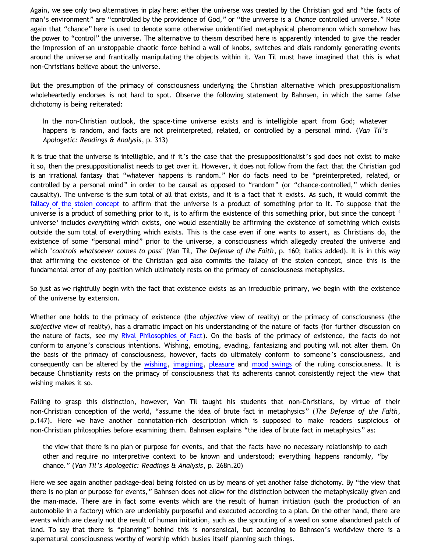Again, we see only two alternatives in play here: either the universe was created by the Christian god and "the facts of man's environment" are "controlled by the providence of God," or "the universe is a *Chance* controlled universe." Note again that "chance" here is used to denote some otherwise unidentified metaphysical phenomenon which somehow has the power to "control" the universe. The alternative to theism described here is apparently intended to give the reader the impression of an unstoppable chaotic force behind a wall of knobs, switches and dials randomly generating events around the universe and frantically manipulating the objects within it. Van Til must have imagined that this is what non-Christians believe about the universe.

But the presumption of the primacy of consciousness underlying the Christian alternative which presuppositionalism wholeheartedly endorses is not hard to spot. Observe the following statement by Bahnsen, in which the same false dichotomy is being reiterated:

In the non-Christian outlook, the space-time universe exists and is intelligible apart from God; whatever happens is random, and facts are not preinterpreted, related, or controlled by a personal mind. (*Van Til's Apologetic: Readings & Analysis*, p. 313)

It is true that the universe is intelligible, and if it's the case that the presuppositionalist's god does not exist to make it so, then the presuppositionalist needs to get over it. However, it does not follow from the fact that the Christian god is an irrational fantasy that "whatever happens is random." Nor do facts need to be "preinterpreted, related, or controlled by a personal mind" in order to be causal as opposed to "random" (or "chance-controlled," which denies causality). The universe is the sum total of all that exists, and it is a fact that it exists. As such, it would commit the [fallacy of the stolen concept](http://bahnsenburner.blogspot.com/2008/06/stolen-concepts-and-intellectual.html) to affirm that the universe is a product of something prior to it. To suppose that the universe is a product of something prior to it, is to affirm the existence of this something prior, but since the concept ' universe' includes *everything* which exists, one would essentially be affirming the existence of something which exists outside the sum total of everything which exists. This is the case even if one wants to assert, as Christians do, the existence of some "personal mind" prior to the universe, a consciousness which allegedly *created* the universe and which "*controls whatsoever comes to pass"* (Van Til, *The Defense of the Faith*, p. 160; italics added). It is in this way that affirming the existence of the Christian god also commits the fallacy of the stolen concept, since this is the fundamental error of any position which ultimately rests on the primacy of consciousness metaphysics.

So just as we rightfully begin with the fact that existence exists as an irreducible primary, we begin with the existence of the universe by extension.

Whether one holds to the primacy of existence (the *objective* view of reality) or the primacy of consciousness (the *subjective* view of reality), has a dramatic impact on his understanding of the nature of facts (for further discussion on the nature of facts, see my [Rival Philosophies of Fact](http://bahnsenburner.blogspot.com/2008/11/rival-philosophies-of-fact.html)). On the basis of the primacy of existence, the facts do not conform to anyone's conscious intentions. Wishing, emoting, evading, fantasizing and pouting will not alter them. On the basis of the primacy of consciousness, however, facts do ultimately conform to someone's consciousness, and consequently can be altered by the [wishing](http://bahnsenburner.blogspot.com/2006/12/wishing-and-christian-deity.html), [imagining,](http://bahnsenburner.blogspot.com/2008/06/faith-as-hope-in-imaginary.html) [pleasure](http://bahnsenburner.blogspot.com/2005/04/gods-good-pleasure-principle-and.html) and [mood swings](http://www.geocities.com/Athens/Sparta/1019/Unchanging_God.htm) of the ruling consciousness. It is because Christianity rests on the primacy of consciousness that its adherents cannot consistently reject the view that wishing makes it so.

Failing to grasp this distinction, however, Van Til taught his students that non-Christians, by virtue of their non-Christian conception of the world, "assume the idea of brute fact in metaphysics" (*The Defense of the Faith*, p.147). Here we have another connotation-rich description which is supposed to make readers suspicious of non-Christian philosophies before examining them. Bahnsen explains "the idea of brute fact in metaphysics" as:

the view that there is no plan or purpose for events, and that the facts have no necessary relationship to each other and require no interpretive context to be known and understood; everything happens randomly, "by chance." (*Van Til's Apologetic: Readings & Analysis*, p. 268n.20)

Here we see again another package-deal being foisted on us by means of yet another false dichotomy. By "the view that there is no plan or purpose for events," Bahnsen does not allow for the distinction between the metaphysically given and the man-made. There are in fact some events which are the result of human initiation (such the production of an automobile in a factory) which are undeniably purposeful and executed according to a plan. On the other hand, there are events which are clearly not the result of human initiation, such as the sprouting of a weed on some abandoned patch of land. To say that there is "planning" behind this is nonsensical, but according to Bahnsen's worldview there is a supernatural consciousness worthy of worship which busies itself planning such things.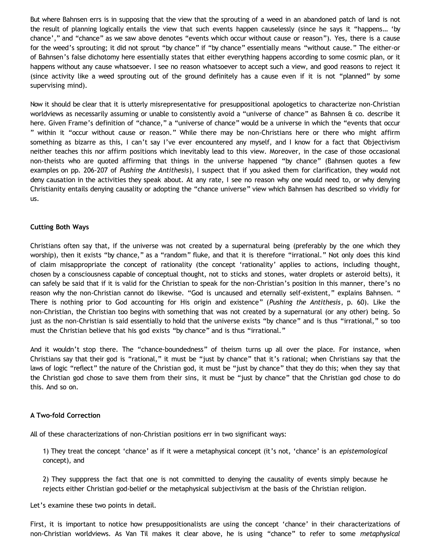But where Bahnsen errs is in supposing that the view that the sprouting of a weed in an abandoned patch of land is not the result of planning logically entails the view that such events happen causelessly (since he says it "happens… 'by chance'," and "chance" as we saw above denotes "events which occur without cause or reason"). Yes, there is a cause for the weed's sprouting; it did not sprout "by chance" if "by chance" essentially means "without cause." The either-or of Bahnsen's false dichotomy here essentially states that either everything happens according to some cosmic plan, or it happens without any cause whatsoever. I see no reason whatsoever to accept such a view, and good reasons to reject it (since activity like a weed sprouting out of the ground definitely has a cause even if it is not "planned" by some supervising mind).

Now it should be clear that it is utterly misrepresentative for presuppositional apologetics to characterize non-Christian worldviews as necessarily assuming or unable to consistently avoid a "universe of chance" as Bahnsen & co. describe it here. Given Frame's definition of "chance," a "universe of chance" would be a universe in which the "events that occur " within it "occur without cause or reason." While there may be non-Christians here or there who might affirm something as bizarre as this, I can't say I've ever encountered any myself, and I know for a fact that Objectivism neither teaches this nor affirm positions which inevitably lead to this view. Moreover, in the case of those occasional non-theists who are quoted affirming that things in the universe happened "by chance" (Bahnsen quotes a few examples on pp. 206-207 of *Pushing the Antithesis*), I suspect that if you asked them for clarification, they would not deny causation in the activities they speak about. At any rate, I see no reason why one would need to, or why denying Christianity entails denying causality or adopting the "chance universe" view which Bahnsen has described so vividly for us.

## **Cutting Both Ways**

Christians often say that, if the universe was not created by a supernatural being (preferably by the one which they worship), then it exists "by chance," as a "random" fluke, and that it is therefore "irrational." Not only does this kind of claim misappropriate the concept of rationality (the concept 'rationality' applies to actions, including thought, chosen by a consciousness capable of conceptual thought, not to sticks and stones, water droplets or asteroid belts), it can safely be said that if it is valid for the Christian to speak for the non-Christian's position in this manner, there's no reason why the non-Christian cannot do likewise. "God is uncaused and eternally self-existent," explains Bahnsen. " There is nothing prior to God accounting for His origin and existence" (*Pushing the Antithesis*, p. 60). Like the non-Christian, the Christian too begins with something that was not created by a supernatural (or any other) being. So just as the non-Christian is said essentially to hold that the universe exists "by chance" and is thus "irrational," so too must the Christian believe that his god exists "by chance" and is thus "irrational."

And it wouldn't stop there. The "chance-boundedness" of theism turns up all over the place. For instance, when Christians say that their god is "rational," it must be "just by chance" that it's rational; when Christians say that the laws of logic "reflect" the nature of the Christian god, it must be "just by chance" that they do this; when they say that the Christian god chose to save them from their sins, it must be "just by chance" that the Christian god chose to do this. And so on.

### **A Two-fold Correction**

All of these characterizations of non-Christian positions err in two significant ways:

1) They treat the concept 'chance' as if it were a metaphysical concept (it's not, 'chance' is an *epistemological* concept), and

2) They supppress the fact that one is not committed to denying the causality of events simply because he rejects either Christian god-belief or the metaphysical subjectivism at the basis of the Christian religion.

Let's examine these two points in detail.

First, it is important to notice how presuppositionalists are using the concept 'chance' in their characterizations of non-Christian worldviews. As Van Til makes it clear above, he is using "chance" to refer to some *metaphysical*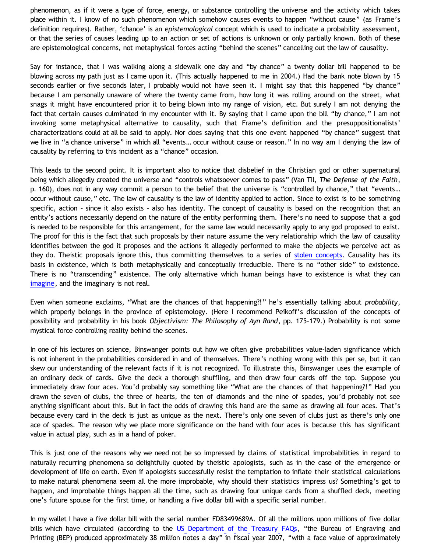phenomenon, as if it were a type of force, energy, or substance controlling the universe and the activity which takes place within it. I know of no such phenomenon which somehow causes events to happen "without cause" (as Frame's definition requires). Rather, 'chance' is an *epistemological* concept which is used to indicate a probability assessment, or that the series of causes leading up to an action or set of actions is unknown or only partially known. Both of these are epistemological concerns, not metaphysical forces acting "behind the scenes" cancelling out the law of causality.

Say for instance, that I was walking along a sidewalk one day and "by chance" a twenty dollar bill happened to be blowing across my path just as I came upon it. (This actually happened to me in 2004.) Had the bank note blown by 15 seconds earlier or five seconds later, I probably would not have seen it. I might say that this happened "by chance" because I am personally unaware of where the twenty came from, how long it was rolling around on the street, what snags it might have encountered prior it to being blown into my range of vision, etc. But surely I am not denying the fact that certain causes culminated in my encounter with it. By saying that I came upon the bill "by chance," I am not invoking some metaphysical alternative to causality, such that Frame's definition and the presuppositionalists' characterizations could at all be said to apply. Nor does saying that this one event happened "by chance" suggest that we live in "a chance universe" in which all "events… occur without cause or reason." In no way am I denying the law of causality by referring to this incident as a "chance" occasion.

This leads to the second point. It is important also to notice that disbelief in the Christian god or other supernatural being which allegedly created the universe and "controls whatsoever comes to pass" (Van Til, *The Defense of the Faith*, p. 160), does not in any way commit a person to the belief that the universe is "controlled by chance," that "events… occur without cause," etc. The law of causality is the law of identity applied to action. Since to exist is to be something specific, action – since it also exists – also has identity. The concept of causality is based on the recognition that an entity's actions necessarily depend on the nature of the entity performing them. There's no need to suppose that a god is needed to be responsible for this arrangement, for the same law would necessarily apply to any god proposed to exist. The proof for this is the fact that such proposals by their nature assume the very relationship which the law of causality identifies between the god it proposes and the actions it allegedly performed to make the objects we perceive act as they do. Theistic proposals ignore this, thus committing themselves to a series of [stolen concepts](http://bahnsenburner.blogspot.com/2008/06/stolen-concepts-and-intellectual.html). Causality has its basis in existence, which is both metaphysically and conceptually irreducible. There is no "other side" to existence. There is no "transcending" existence. The only alternative which human beings have to existence is what they can [imagine,](http://bahnsenburner.blogspot.com/search/label/imagination) and the imaginary is not real.

Even when someone exclaims, "What are the chances of that happening?!" he's essentially talking about *probability*, which properly belongs in the province of epistemology. (Here I recommend Peikoff's discussion of the concepts of possibility and probability in his book *Objectivism: The Philosophy of Ayn Rand*, pp. 175-179.) Probability is not some mystical force controlling reality behind the scenes.

In one of his lectures on science, Binswanger points out how we often give probabilities value-laden significance which is not inherent in the probabilities considered in and of themselves. There's nothing wrong with this per se, but it can skew our understanding of the relevant facts if it is not recognized. To illustrate this, Binswanger uses the example of an ordinary deck of cards. Give the deck a thorough shuffling, and then draw four cards off the top. Suppose you immediately draw four aces. You'd probably say something like "What are the chances of that happening?!" Had you drawn the seven of clubs, the three of hearts, the ten of diamonds and the nine of spades, you'd probably not see anything significant about this. But in fact the odds of drawing this hand are the same as drawing all four aces. That's because every card in the deck is just as unique as the next. There's only one seven of clubs just as there's only one ace of spades. The reason why we place more significance on the hand with four aces is because this has significant value in actual play, such as in a hand of poker.

This is just one of the reasons why we need not be so impressed by claims of statistical improbabilities in regard to naturally recurring phenomena so delightfully quoted by theistic apologists, such as in the case of the emergence or development of life on earth. Even if apologists successfully resist the temptation to inflate their statistical calculations to make natural phenomena seem all the more improbable, why should their statistics impress us? Something's got to happen, and improbable things happen all the time, such as drawing four unique cards from a shuffled deck, meeting one's future spouse for the first time, or handling a five dollar bill with a specific serial number.

In my wallet I have a five dollar bill with the serial number FD83499689A. Of all the millions upon millions of five dollar bills which have circulated (according to the [US Department of the Treasury FAQs,](http://www.treas.gov/education/faq/currency/production.shtml) "the Bureau of Engraving and Printing (BEP) produced approximately 38 million notes a day" in fiscal year 2007, "with a face value of approximately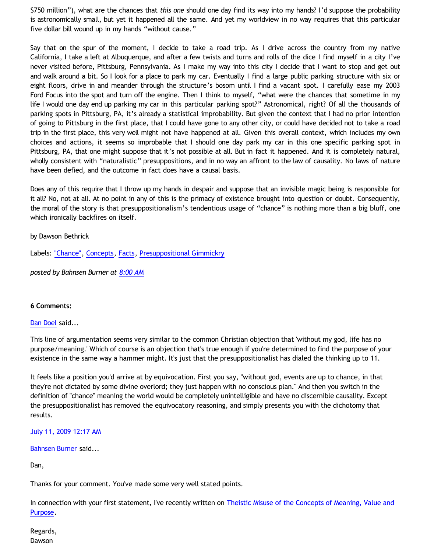\$750 million"), what are the chances that *this one* should one day find its way into my hands? I'd suppose the probability is astronomically small, but yet it happened all the same. And yet my worldview in no way requires that this particular five dollar bill wound up in my hands "without cause."

Say that on the spur of the moment, I decide to take a road trip. As I drive across the country from my native California, I take a left at Albuquerque, and after a few twists and turns and rolls of the dice I find myself in a city I've never visited before, Pittsburg, Pennsylvania. As I make my way into this city I decide that I want to stop and get out and walk around a bit. So I look for a place to park my car. Eventually I find a large public parking structure with six or eight floors, drive in and meander through the structure's bosom until I find a vacant spot. I carefully ease my 2003 Ford Focus into the spot and turn off the engine. Then I think to myself, "what were the chances that sometime in my life I would one day end up parking my car in this particular parking spot?" Astronomical, right? Of all the thousands of parking spots in Pittsburg, PA, it's already a statistical improbability. But given the context that I had no prior intention of going to Pittsburg in the first place, that I could have gone to any other city, or could have decided not to take a road trip in the first place, this very well might not have happened at all. Given this overall context, which includes my own choices and actions, it seems so improbable that I should one day park my car in this one specific parking spot in Pittsburg, PA, that one might suppose that it's not possible at all. But in fact it happened. And it is completely natural, wholly consistent with "naturalistic" presuppositions, and in no way an affront to the law of causality. No laws of nature have been defied, and the outcome in fact does have a causal basis.

Does any of this require that I throw up my hands in despair and suppose that an invisible magic being is responsible for it all? No, not at all. At no point in any of this is the primacy of existence brought into question or doubt. Consequently, the moral of the story is that presuppositionalism's tendentious usage of "chance" is nothing more than a big bluff, one which ironically backfires on itself.

## by Dawson Bethrick

Labels: ["Chance"](http://bahnsenburner.blogspot.com/search/label/%22Chance%22), [Concepts,](http://bahnsenburner.blogspot.com/search/label/Concepts) [Facts,](http://bahnsenburner.blogspot.com/search/label/Facts) [Presuppositional Gimmickry](http://bahnsenburner.blogspot.com/search/label/Presuppositional%20Gimmickry)

*posted by Bahnsen Burner at [8:00 AM](http://bahnsenburner.blogspot.com/2009/07/concept-of-chance-right-and-wrong-uses.html)*

### **6 Comments:**

### [Dan Doel](http://www.blogger.com/profile/16761291400347369301) said...

This line of argumentation seems very similar to the common Christian objection that 'without my god, life has no purpose/meaning.' Which of course is an objection that's true enough if you're determined to find the purpose of your existence in the same way a hammer might. It's just that the presuppositionalist has dialed the thinking up to 11.

It feels like a position you'd arrive at by equivocation. First you say, "without god, events are up to chance, in that they're not dictated by some divine overlord; they just happen with no conscious plan." And then you switch in the definition of "chance" meaning the world would be completely unintelligible and have no discernible causality. Except the presuppositionalist has removed the equivocatory reasoning, and simply presents you with the dichotomy that results.

### [July 11, 2009 12:17 AM](http://bahnsenburner.blogspot.com/2009/07/1470292227801961672)

## [Bahnsen Burner](http://www.blogger.com/profile/11030029491768748360) said...

Dan,

Thanks for your comment. You've made some very well stated points.

In connection with your first statement, I've recently written on [Theistic Misuse of the Concepts of Meaning, Value and](http://bahnsenburner.blogspot.com/2009/06/theistic-misuse-of-concepts-of-meaning.html) [Purpose](http://bahnsenburner.blogspot.com/2009/06/theistic-misuse-of-concepts-of-meaning.html).

Regards, **Dawson**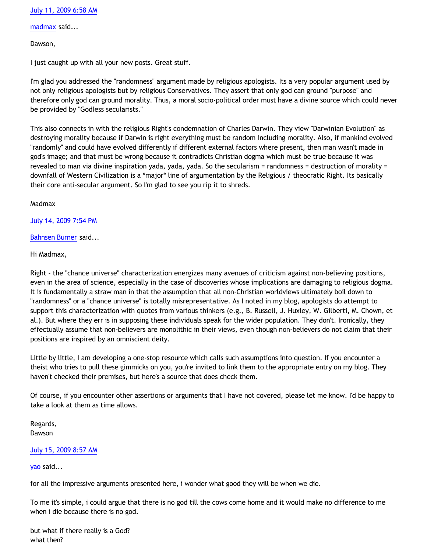## [July 11, 2009 6:58 AM](http://bahnsenburner.blogspot.com/2009/07/4219806143666603672)

[madmax](http://www.blogger.com/profile/14375140131881725965) said...

Dawson,

I just caught up with all your new posts. Great stuff.

I'm glad you addressed the "randomness" argument made by religious apologists. Its a very popular argument used by not only religious apologists but by religious Conservatives. They assert that only god can ground "purpose" and therefore only god can ground morality. Thus, a moral socio-political order must have a divine source which could never be provided by "Godless secularists."

This also connects in with the religious Right's condemnation of Charles Darwin. They view "Darwinian Evolution" as destroying morality because if Darwin is right everything must be random including morality. Also, if mankind evolved "randomly" and could have evolved differently if different external factors where present, then man wasn't made in god's image; and that must be wrong because it contradicts Christian dogma which must be true because it was revealed to man via divine inspiration yada, yada, yada. So the secularism = randomness = destruction of morality = downfall of Western Civilization is a \*major\* line of argumentation by the Religious / theocratic Right. Its basically their core anti-secular argument. So I'm glad to see you rip it to shreds.

Madmax

[July 14, 2009 7:54 PM](http://bahnsenburner.blogspot.com/2009/07/8040243269319787354)

[Bahnsen Burner](http://www.blogger.com/profile/11030029491768748360) said...

Hi Madmax,

Right - the "chance universe" characterization energizes many avenues of criticism against non-believing positions, even in the area of science, especially in the case of discoveries whose implications are damaging to religious dogma. It is fundamentally a straw man in that the assumption that all non-Christian worldviews ultimately boil down to "randomness" or a "chance universe" is totally misrepresentative. As I noted in my blog, apologists do attempt to support this characterization with quotes from various thinkers (e.g., B. Russell, J. Huxley, W. Gilberti, M. Chown, et al.). But where they err is in supposing these individuals speak for the wider population. They don't. Ironically, they effectually assume that non-believers are monolithic in their views, even though non-believers do not claim that their positions are inspired by an omniscient deity.

Little by little, I am developing a one-stop resource which calls such assumptions into question. If you encounter a theist who tries to pull these gimmicks on you, you're invited to link them to the appropriate entry on my blog. They haven't checked their premises, but here's a source that does check them.

Of course, if you encounter other assertions or arguments that I have not covered, please let me know. I'd be happy to take a look at them as time allows.

Regards, Dawson

## [July 15, 2009 8:57 AM](http://bahnsenburner.blogspot.com/2009/07/3956833277633025774)

[yao](http://www.blogger.com/profile/03490317878600379123) said...

for all the impressive arguments presented here, i wonder what good they will be when we die.

To me it's simple, i could argue that there is no god till the cows come home and it would make no difference to me when i die because there is no god.

but what if there really is a God? what then?